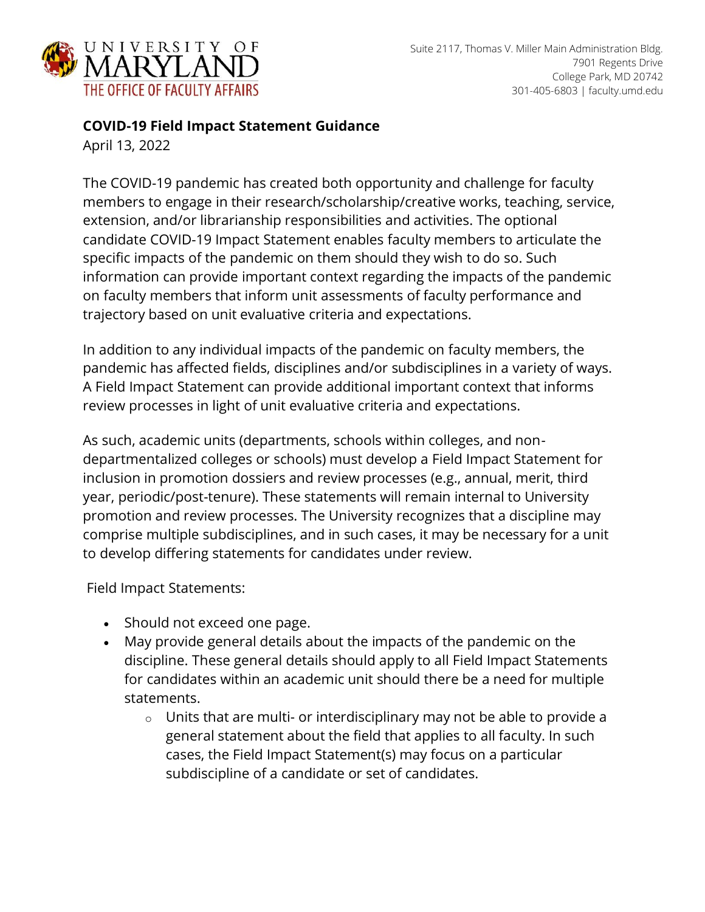

## **COVID-19 Field Impact Statement Guidance**

April 13, 2022

The COVID-19 pandemic has created both opportunity and challenge for faculty members to engage in their research/scholarship/creative works, teaching, service, extension, and/or librarianship responsibilities and activities. The optional candidate COVID-19 Impact Statement enables faculty members to articulate the specific impacts of the pandemic on them should they wish to do so. Such information can provide important context regarding the impacts of the pandemic on faculty members that inform unit assessments of faculty performance and trajectory based on unit evaluative criteria and expectations.

In addition to any individual impacts of the pandemic on faculty members, the pandemic has affected fields, disciplines and/or subdisciplines in a variety of ways. A Field Impact Statement can provide additional important context that informs review processes in light of unit evaluative criteria and expectations.

As such, academic units (departments, schools within colleges, and nondepartmentalized colleges or schools) must develop a Field Impact Statement for inclusion in promotion dossiers and review processes (e.g., annual, merit, third year, periodic/post-tenure). These statements will remain internal to University promotion and review processes. The University recognizes that a discipline may comprise multiple subdisciplines, and in such cases, it may be necessary for a unit to develop differing statements for candidates under review.

Field Impact Statements:

- Should not exceed one page.
- May provide general details about the impacts of the pandemic on the discipline. These general details should apply to all Field Impact Statements for candidates within an academic unit should there be a need for multiple statements.
	- $\circ$  Units that are multi- or interdisciplinary may not be able to provide a general statement about the field that applies to all faculty. In such cases, the Field Impact Statement(s) may focus on a particular subdiscipline of a candidate or set of candidates.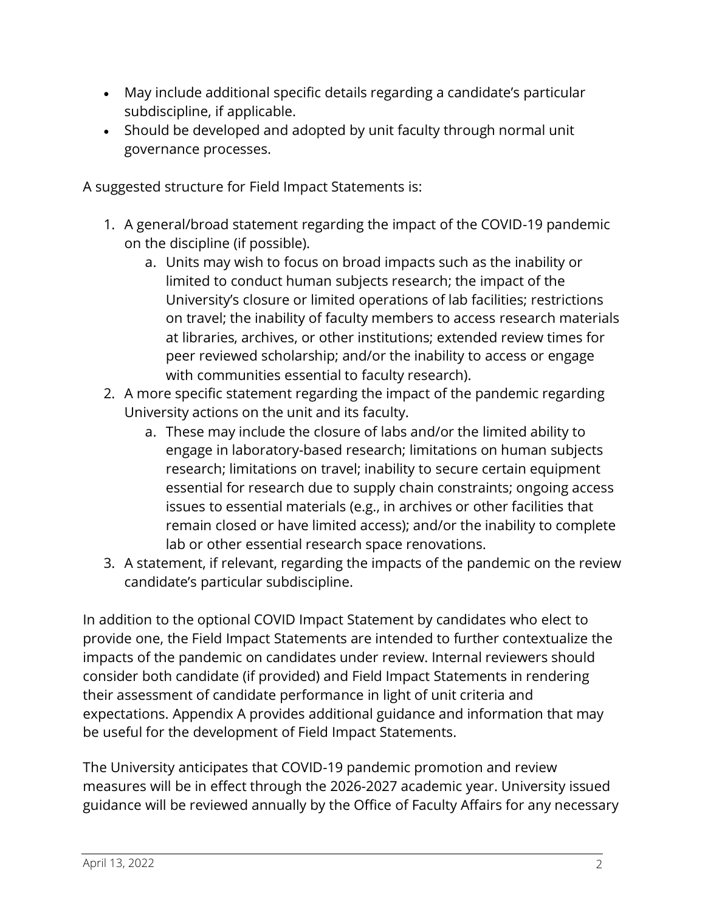- May include additional specific details regarding a candidate's particular subdiscipline, if applicable.
- Should be developed and adopted by unit faculty through normal unit governance processes.

A suggested structure for Field Impact Statements is:

- 1. A general/broad statement regarding the impact of the COVID-19 pandemic on the discipline (if possible).
	- a. Units may wish to focus on broad impacts such as the inability or limited to conduct human subjects research; the impact of the University's closure or limited operations of lab facilities; restrictions on travel; the inability of faculty members to access research materials at libraries, archives, or other institutions; extended review times for peer reviewed scholarship; and/or the inability to access or engage with communities essential to faculty research).
- 2. A more specific statement regarding the impact of the pandemic regarding University actions on the unit and its faculty.
	- a. These may include the closure of labs and/or the limited ability to engage in laboratory-based research; limitations on human subjects research; limitations on travel; inability to secure certain equipment essential for research due to supply chain constraints; ongoing access issues to essential materials (e.g., in archives or other facilities that remain closed or have limited access); and/or the inability to complete lab or other essential research space renovations.
- 3. A statement, if relevant, regarding the impacts of the pandemic on the review candidate's particular subdiscipline.

In addition to the optional COVID Impact Statement by candidates who elect to provide one, the Field Impact Statements are intended to further contextualize the impacts of the pandemic on candidates under review. Internal reviewers should consider both candidate (if provided) and Field Impact Statements in rendering their assessment of candidate performance in light of unit criteria and expectations. Appendix A provides additional guidance and information that may be useful for the development of Field Impact Statements.

The University anticipates that COVID-19 pandemic promotion and review measures will be in effect through the 2026-2027 academic year. University issued guidance will be reviewed annually by the Office of Faculty Affairs for any necessary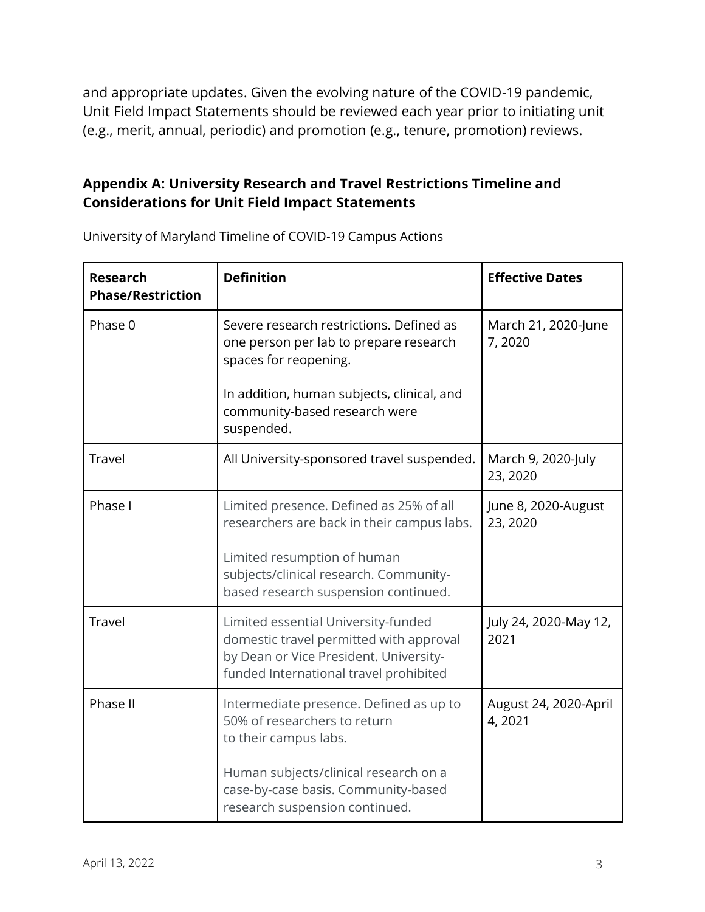and appropriate updates. Given the evolving nature of the COVID-19 pandemic, Unit Field Impact Statements should be reviewed each year prior to initiating unit (e.g., merit, annual, periodic) and promotion (e.g., tenure, promotion) reviews.

## **Appendix A: University Research and Travel Restrictions Timeline and Considerations for Unit Field Impact Statements**

| <b>Research</b><br><b>Phase/Restriction</b> | <b>Definition</b>                                                                                                                                                                                      | <b>Effective Dates</b>          |
|---------------------------------------------|--------------------------------------------------------------------------------------------------------------------------------------------------------------------------------------------------------|---------------------------------|
| Phase 0                                     | Severe research restrictions. Defined as<br>one person per lab to prepare research<br>spaces for reopening.                                                                                            | March 21, 2020-June<br>7,2020   |
|                                             | In addition, human subjects, clinical, and<br>community-based research were<br>suspended.                                                                                                              |                                 |
| <b>Travel</b>                               | All University-sponsored travel suspended.                                                                                                                                                             | March 9, 2020-July<br>23, 2020  |
| Phase I                                     | Limited presence. Defined as 25% of all<br>researchers are back in their campus labs.<br>Limited resumption of human<br>subjects/clinical research. Community-<br>based research suspension continued. | June 8, 2020-August<br>23, 2020 |
| <b>Travel</b>                               | Limited essential University-funded<br>domestic travel permitted with approval<br>by Dean or Vice President. University-<br>funded International travel prohibited                                     | July 24, 2020-May 12,<br>2021   |
| Phase II                                    | Intermediate presence. Defined as up to<br>50% of researchers to return<br>to their campus labs.                                                                                                       | August 24, 2020-April<br>4,2021 |
|                                             | Human subjects/clinical research on a<br>case-by-case basis. Community-based<br>research suspension continued.                                                                                         |                                 |

University of Maryland Timeline of COVID-19 Campus Actions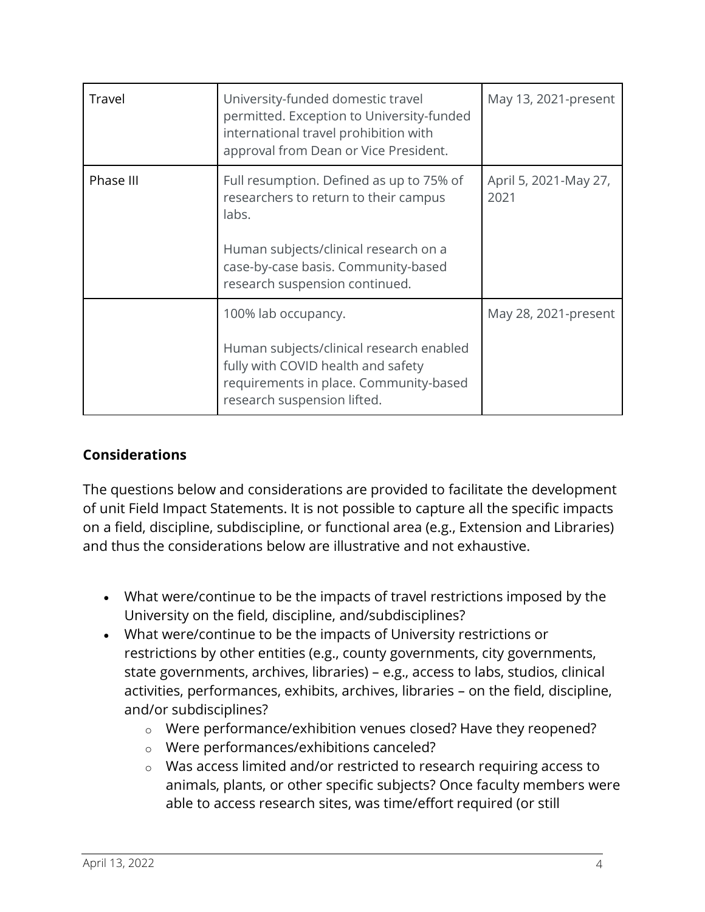| Travel    | University-funded domestic travel<br>permitted. Exception to University-funded<br>international travel prohibition with<br>approval from Dean or Vice President. | May 13, 2021-present          |
|-----------|------------------------------------------------------------------------------------------------------------------------------------------------------------------|-------------------------------|
| Phase III | Full resumption. Defined as up to 75% of<br>researchers to return to their campus<br>labs.                                                                       | April 5, 2021-May 27,<br>2021 |
|           | Human subjects/clinical research on a<br>case-by-case basis. Community-based<br>research suspension continued.                                                   |                               |
|           | 100% lab occupancy.                                                                                                                                              | May 28, 2021-present          |
|           | Human subjects/clinical research enabled<br>fully with COVID health and safety<br>requirements in place. Community-based<br>research suspension lifted.          |                               |

## **Considerations**

The questions below and considerations are provided to facilitate the development of unit Field Impact Statements. It is not possible to capture all the specific impacts on a field, discipline, subdiscipline, or functional area (e.g., Extension and Libraries) and thus the considerations below are illustrative and not exhaustive.

- What were/continue to be the impacts of travel restrictions imposed by the University on the field, discipline, and/subdisciplines?
- What were/continue to be the impacts of University restrictions or restrictions by other entities (e.g., county governments, city governments, state governments, archives, libraries) – e.g., access to labs, studios, clinical activities, performances, exhibits, archives, libraries – on the field, discipline, and/or subdisciplines?
	- o Were performance/exhibition venues closed? Have they reopened?
	- o Were performances/exhibitions canceled?
	- o Was access limited and/or restricted to research requiring access to animals, plants, or other specific subjects? Once faculty members were able to access research sites, was time/effort required (or still